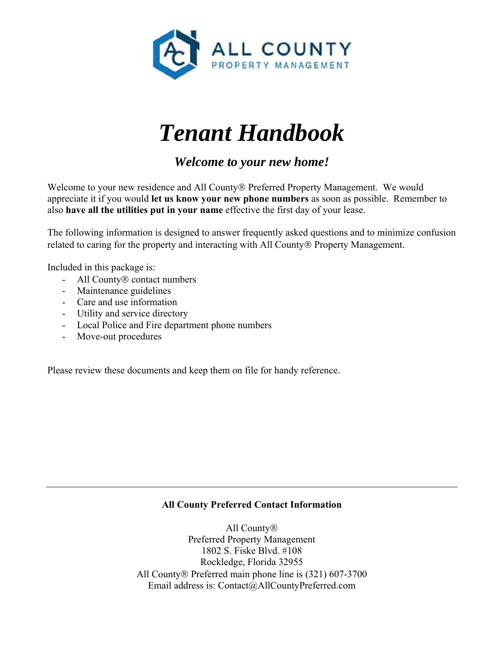

# *Tenant Handbook*

*Welcome to your new home!* 

Welcome to your new residence and All County® Preferred Property Management. We would appreciate it if you would **let us know your new phone numbers** as soon as possible. Remember to also **have all the utilities put in your name** effective the first day of your lease.

The following information is designed to answer frequently asked questions and to minimize confusion related to caring for the property and interacting with All County<sup>®</sup> Property Management.

Included in this package is:

- All County<sup>®</sup> contact numbers
- Maintenance guidelines
- Care and use information
- Utility and service directory
- Local Police and Fire department phone numbers
- Move-out procedures

Please review these documents and keep them on file for handy reference.

#### **All County Preferred Contact Information**

All County<sup>®</sup> Preferred Property Management 1802 S. Fiske Blvd. #108 Rockledge, Florida 32955 All County ® Preferred main phone line is (321) 607-3700 Email address is: Contact@AllCountyPreferred.com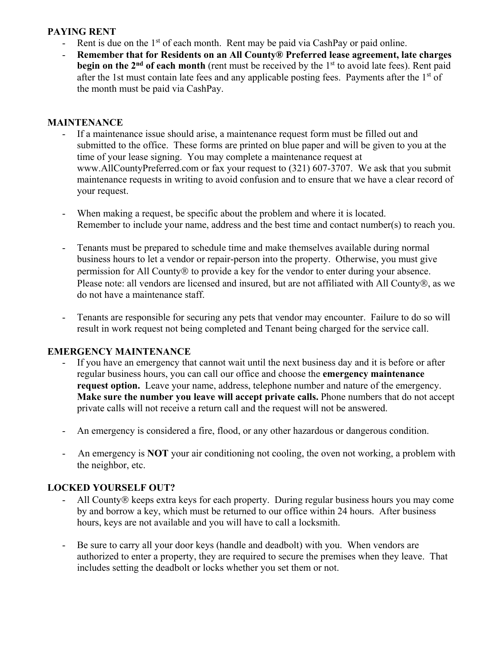#### **PAYING RENT**

- Rent is due on the  $1<sup>st</sup>$  of each month. Rent may be paid via CashPay or paid online.
- **Remember that for Residents on an All County® Preferred lease agreement, late charges begin on the 2<sup>nd</sup> of each month** (rent must be received by the 1<sup>st</sup> to avoid late fees). Rent paid after the 1st must contain late fees and any applicable posting fees. Payments after the 1<sup>st</sup> of the month must be paid via CashPay.

#### **MAINTENANCE**

- If a maintenance issue should arise, a maintenance request form must be filled out and submitted to the office. These forms are printed on blue paper and will be given to you at the time of your lease signing. You may complete a maintenance request at www.AllCountyPreferred.com or fax your request to (321) 607-3707. We ask that you submit maintenance requests in writing to avoid confusion and to ensure that we have a clear record of your request.
- When making a request, be specific about the problem and where it is located. Remember to include your name, address and the best time and contact number(s) to reach you.
- Tenants must be prepared to schedule time and make themselves available during normal business hours to let a vendor or repair-person into the property. Otherwise, you must give permission for All County $\mathcal D$  to provide a key for the vendor to enter during your absence. Please note: all vendors are licensed and insured, but are not affiliated with All County®, as we do not have a maintenance staff.
- Tenants are responsible for securing any pets that vendor may encounter. Failure to do so will result in work request not being completed and Tenant being charged for the service call.

#### **EMERGENCY MAINTENANCE**

- If you have an emergency that cannot wait until the next business day and it is before or after regular business hours, you can call our office and choose the **emergency maintenance request option.** Leave your name, address, telephone number and nature of the emergency. **Make sure the number you leave will accept private calls.** Phone numbers that do not accept private calls will not receive a return call and the request will not be answered.
- An emergency is considered a fire, flood, or any other hazardous or dangerous condition.
- An emergency is **NOT** your air conditioning not cooling, the oven not working, a problem with the neighbor, etc.

#### **LOCKED YOURSELF OUT?**

- All County ® keeps extra keys for each property. During regular business hours you may come by and borrow a key, which must be returned to our office within 24 hours. After business hours, keys are not available and you will have to call a locksmith.
- Be sure to carry all your door keys (handle and deadbolt) with you. When vendors are authorized to enter a property, they are required to secure the premises when they leave. That includes setting the deadbolt or locks whether you set them or not.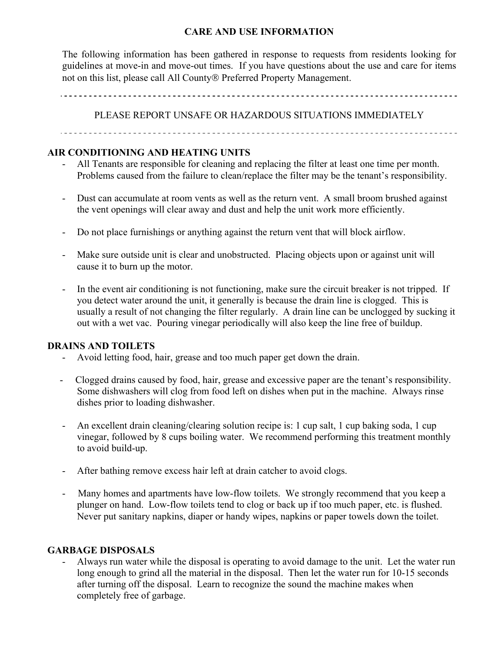#### **CARE AND USE INFORMATION**

The following information has been gathered in response to requests from residents looking for guidelines at move-in and move-out times. If you have questions about the use and care for items not on this list, please call All County® Preferred Property Management.

PLEASE REPORT UNSAFE OR HAZARDOUS SITUATIONS IMMEDIATELY

#### **AIR CONDITIONING AND HEATING UNITS**

- All Tenants are responsible for cleaning and replacing the filter at least one time per month. Problems caused from the failure to clean/replace the filter may be the tenant's responsibility.
- Dust can accumulate at room vents as well as the return vent. A small broom brushed against the vent openings will clear away and dust and help the unit work more efficiently.
- Do not place furnishings or anything against the return vent that will block airflow.
- Make sure outside unit is clear and unobstructed. Placing objects upon or against unit will cause it to burn up the motor.
- In the event air conditioning is not functioning, make sure the circuit breaker is not tripped. If you detect water around the unit, it generally is because the drain line is clogged. This is usually a result of not changing the filter regularly. A drain line can be unclogged by sucking it out with a wet vac. Pouring vinegar periodically will also keep the line free of buildup.

#### **DRAINS AND TOILETS**

- Avoid letting food, hair, grease and too much paper get down the drain.
- Clogged drains caused by food, hair, grease and excessive paper are the tenant's responsibility. Some dishwashers will clog from food left on dishes when put in the machine. Always rinse dishes prior to loading dishwasher.
- An excellent drain cleaning/clearing solution recipe is: 1 cup salt, 1 cup baking soda, 1 cup vinegar, followed by 8 cups boiling water. We recommend performing this treatment monthly to avoid build-up.
- After bathing remove excess hair left at drain catcher to avoid clogs.
- Many homes and apartments have low-flow toilets. We strongly recommend that you keep a plunger on hand. Low-flow toilets tend to clog or back up if too much paper, etc. is flushed. Never put sanitary napkins, diaper or handy wipes, napkins or paper towels down the toilet.

#### **GARBAGE DISPOSALS**

- Always run water while the disposal is operating to avoid damage to the unit. Let the water run long enough to grind all the material in the disposal. Then let the water run for 10-15 seconds after turning off the disposal. Learn to recognize the sound the machine makes when completely free of garbage.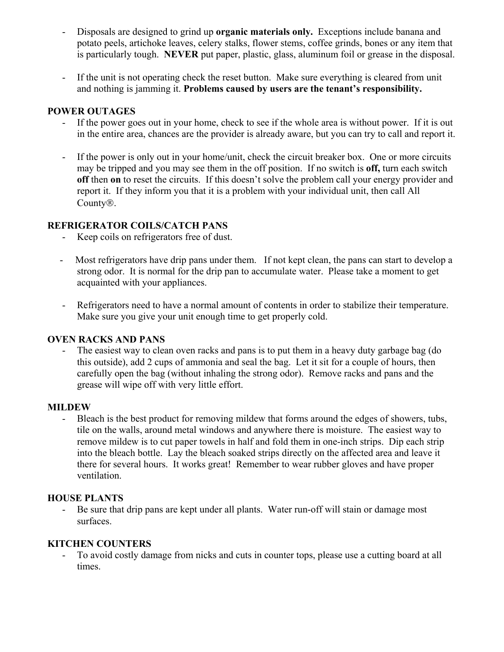- Disposals are designed to grind up **organic materials only.** Exceptions include banana and potato peels, artichoke leaves, celery stalks, flower stems, coffee grinds, bones or any item that is particularly tough. **NEVER** put paper, plastic, glass, aluminum foil or grease in the disposal.
- If the unit is not operating check the reset button. Make sure everything is cleared from unit and nothing is jamming it. **Problems caused by users are the tenant's responsibility.**

#### **POWER OUTAGES**

- If the power goes out in your home, check to see if the whole area is without power. If it is out in the entire area, chances are the provider is already aware, but you can try to call and report it.
- If the power is only out in your home/unit, check the circuit breaker box. One or more circuits may be tripped and you may see them in the off position. If no switch is **off,** turn each switch **off** then **on** to reset the circuits. If this doesn't solve the problem call your energy provider and report it. If they inform you that it is a problem with your individual unit, then call All County<sup>®</sup>.

#### **REFRIGERATOR COILS/CATCH PANS**

- Keep coils on refrigerators free of dust.
- Most refrigerators have drip pans under them. If not kept clean, the pans can start to develop a strong odor. It is normal for the drip pan to accumulate water. Please take a moment to get acquainted with your appliances.
- Refrigerators need to have a normal amount of contents in order to stabilize their temperature. Make sure you give your unit enough time to get properly cold.

#### **OVEN RACKS AND PANS**

The easiest way to clean oven racks and pans is to put them in a heavy duty garbage bag (do this outside), add 2 cups of ammonia and seal the bag. Let it sit for a couple of hours, then carefully open the bag (without inhaling the strong odor). Remove racks and pans and the grease will wipe off with very little effort.

#### **MILDEW**

- Bleach is the best product for removing mildew that forms around the edges of showers, tubs, tile on the walls, around metal windows and anywhere there is moisture. The easiest way to remove mildew is to cut paper towels in half and fold them in one-inch strips. Dip each strip into the bleach bottle. Lay the bleach soaked strips directly on the affected area and leave it there for several hours. It works great! Remember to wear rubber gloves and have proper ventilation.

#### **HOUSE PLANTS**

- Be sure that drip pans are kept under all plants. Water run-off will stain or damage most surfaces.

#### **KITCHEN COUNTERS**

To avoid costly damage from nicks and cuts in counter tops, please use a cutting board at all times.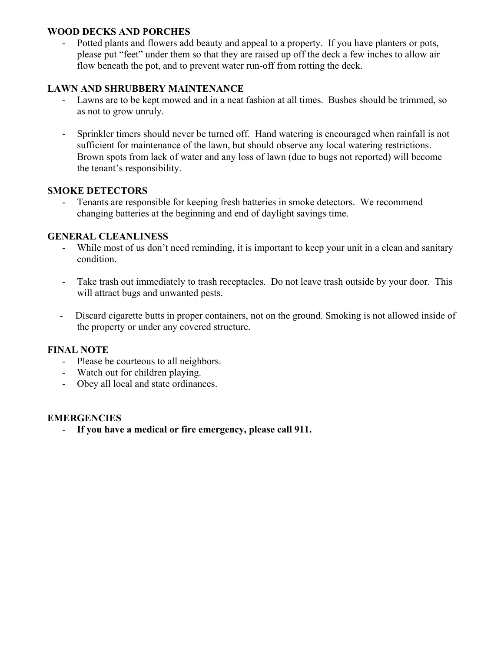#### **WOOD DECKS AND PORCHES**

Potted plants and flowers add beauty and appeal to a property. If you have planters or pots, please put "feet" under them so that they are raised up off the deck a few inches to allow air flow beneath the pot, and to prevent water run-off from rotting the deck.

#### **LAWN AND SHRUBBERY MAINTENANCE**

- Lawns are to be kept mowed and in a neat fashion at all times. Bushes should be trimmed, so as not to grow unruly.
- Sprinkler timers should never be turned off. Hand watering is encouraged when rainfall is not sufficient for maintenance of the lawn, but should observe any local watering restrictions. Brown spots from lack of water and any loss of lawn (due to bugs not reported) will become the tenant's responsibility.

#### **SMOKE DETECTORS**

Tenants are responsible for keeping fresh batteries in smoke detectors. We recommend changing batteries at the beginning and end of daylight savings time.

#### **GENERAL CLEANLINESS**

- While most of us don't need reminding, it is important to keep your unit in a clean and sanitary condition.
- Take trash out immediately to trash receptacles. Do not leave trash outside by your door. This will attract bugs and unwanted pests.
- Discard cigarette butts in proper containers, not on the ground. Smoking is not allowed inside of the property or under any covered structure.

#### **FINAL NOTE**

- Please be courteous to all neighbors.
- Watch out for children playing.
- Obey all local and state ordinances.

#### **EMERGENCIES**

- **If you have a medical or fire emergency, please call 911.**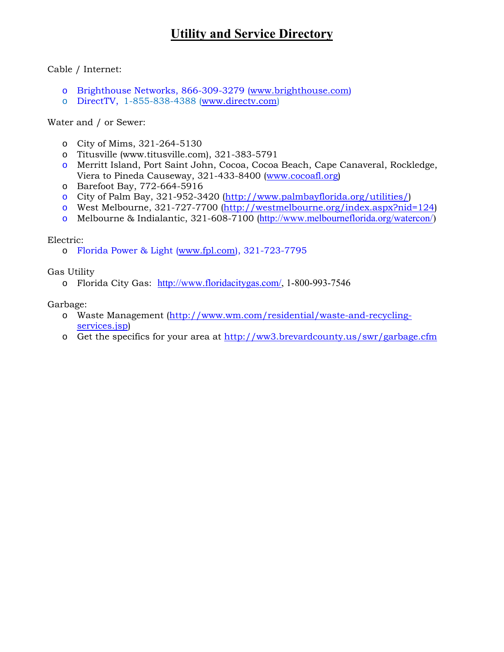# **Utility and Service Directory**

Cable / Internet:

- o Brighthouse Networks, 866-309-3279 (www.brighthouse.com)
- o DirectTV, 1-855-838-4388 (www.directv.com)

Water and / or Sewer:

- o City of Mims, 321-264-5130
- o Titusville (www.titusville.com), 321-383-5791
- o Merritt Island, Port Saint John, Cocoa, Cocoa Beach, Cape Canaveral, Rockledge, Viera to Pineda Causeway, 321-433-8400 (www.cocoafl.org)
- o Barefoot Bay, 772-664-5916
- o City of Palm Bay, 321-952-3420 (http://www.palmbayflorida.org/utilities/)
- o West Melbourne, 321-727-7700 (http://westmelbourne.org/index.aspx?nid=124)
- o Melbourne & Indialantic, 321-608-7100 (http://www.melbourneflorida.org/watercon/)

#### Electric:

o Florida Power & Light (www.fpl.com), 321-723-7795

Gas Utility

o Florida City Gas: http://www.floridacitygas.com/, 1-800-993-7546

Garbage:

- o Waste Management (http://www.wm.com/residential/waste-and-recyclingservices.jsp)
- o Get the specifics for your area at http://ww3.brevardcounty.us/swr/garbage.cfm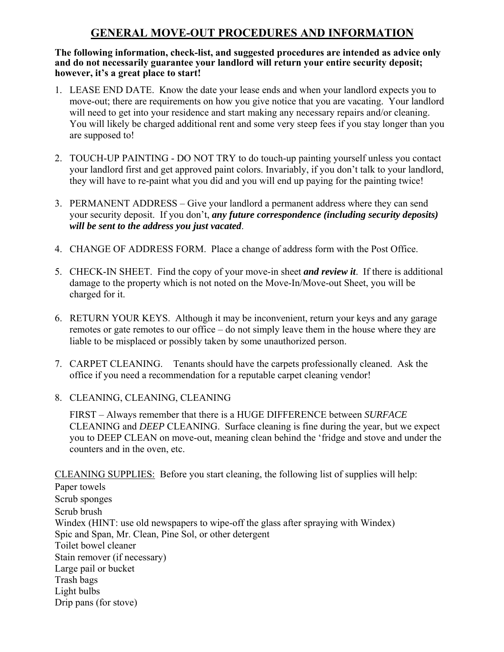## **GENERAL MOVE-OUT PROCEDURES AND INFORMATION**

#### **The following information, check-list, and suggested procedures are intended as advice only and do not necessarily guarantee your landlord will return your entire security deposit; however, it's a great place to start!**

- 1. LEASE END DATE. Know the date your lease ends and when your landlord expects you to move-out; there are requirements on how you give notice that you are vacating. Your landlord will need to get into your residence and start making any necessary repairs and/or cleaning. You will likely be charged additional rent and some very steep fees if you stay longer than you are supposed to!
- 2. TOUCH-UP PAINTING DO NOT TRY to do touch-up painting yourself unless you contact your landlord first and get approved paint colors. Invariably, if you don't talk to your landlord, they will have to re-paint what you did and you will end up paying for the painting twice!
- 3. PERMANENT ADDRESS Give your landlord a permanent address where they can send your security deposit. If you don't, *any future correspondence (including security deposits) will be sent to the address you just vacated*.
- 4. CHANGE OF ADDRESS FORM. Place a change of address form with the Post Office.
- 5. CHECK-IN SHEET. Find the copy of your move-in sheet *and review it*. If there is additional damage to the property which is not noted on the Move-In/Move-out Sheet, you will be charged for it.
- 6. RETURN YOUR KEYS. Although it may be inconvenient, return your keys and any garage remotes or gate remotes to our office – do not simply leave them in the house where they are liable to be misplaced or possibly taken by some unauthorized person.
- 7. CARPET CLEANING. Tenants should have the carpets professionally cleaned. Ask the office if you need a recommendation for a reputable carpet cleaning vendor!
- 8. CLEANING, CLEANING, CLEANING

FIRST – Always remember that there is a HUGE DIFFERENCE between *SURFACE*  CLEANING and *DEEP* CLEANING. Surface cleaning is fine during the year, but we expect you to DEEP CLEAN on move-out, meaning clean behind the 'fridge and stove and under the counters and in the oven, etc.

CLEANING SUPPLIES: Before you start cleaning, the following list of supplies will help:

Paper towels Scrub sponges Scrub brush Windex (HINT: use old newspapers to wipe-off the glass after spraying with Windex) Spic and Span, Mr. Clean, Pine Sol, or other detergent Toilet bowel cleaner Stain remover (if necessary) Large pail or bucket Trash bags Light bulbs Drip pans (for stove)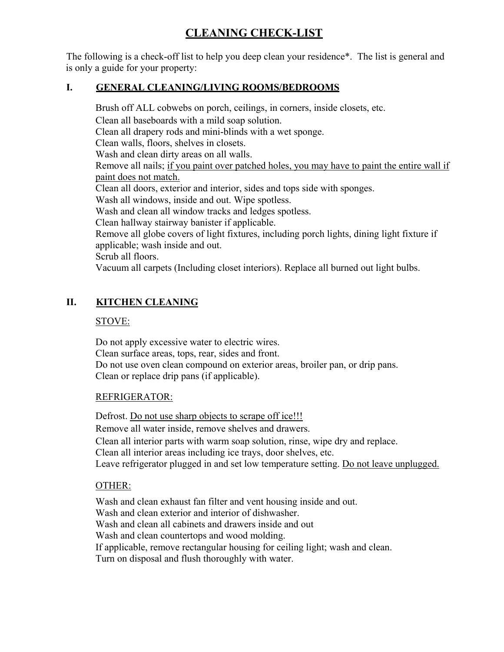## **CLEANING CHECK-LIST**

The following is a check-off list to help you deep clean your residence\*. The list is general and is only a guide for your property:

#### **I. GENERAL CLEANING/LIVING ROOMS/BEDROOMS**

Brush off ALL cobwebs on porch, ceilings, in corners, inside closets, etc. Clean all baseboards with a mild soap solution. Clean all drapery rods and mini-blinds with a wet sponge. Clean walls, floors, shelves in closets. Wash and clean dirty areas on all walls. Remove all nails; if you paint over patched holes, you may have to paint the entire wall if paint does not match. Clean all doors, exterior and interior, sides and tops side with sponges. Wash all windows, inside and out. Wipe spotless. Wash and clean all window tracks and ledges spotless. Clean hallway stairway banister if applicable. Remove all globe covers of light fixtures, including porch lights, dining light fixture if applicable; wash inside and out. Scrub all floors. Vacuum all carpets (Including closet interiors). Replace all burned out light bulbs.

### **II. KITCHEN CLEANING**

#### STOVE:

Do not apply excessive water to electric wires. Clean surface areas, tops, rear, sides and front. Do not use oven clean compound on exterior areas, broiler pan, or drip pans. Clean or replace drip pans (if applicable).

#### REFRIGERATOR:

Defrost. Do not use sharp objects to scrape off ice!!! Remove all water inside, remove shelves and drawers. Clean all interior parts with warm soap solution, rinse, wipe dry and replace. Clean all interior areas including ice trays, door shelves, etc. Leave refrigerator plugged in and set low temperature setting. Do not leave unplugged.

#### OTHER:

Wash and clean exhaust fan filter and vent housing inside and out. Wash and clean exterior and interior of dishwasher. Wash and clean all cabinets and drawers inside and out Wash and clean countertops and wood molding. If applicable, remove rectangular housing for ceiling light; wash and clean. Turn on disposal and flush thoroughly with water.